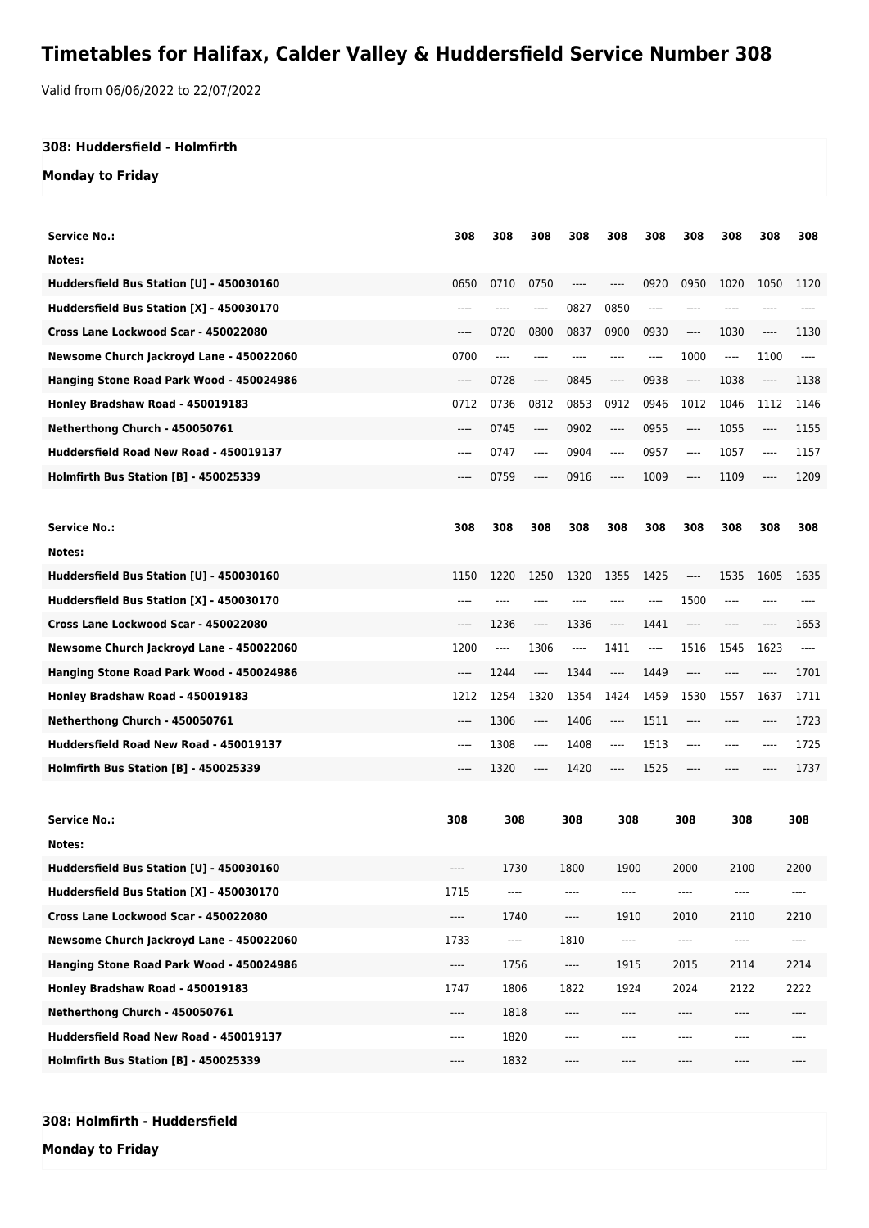## **Timetables for Halifax, Calder Valley & Huddersfield Service Number 308**

Valid from 06/06/2022 to 22/07/2022

## **308: Huddersfield - Holmfirth**

## **Monday to Friday**

| Service No.:                                 | 308   | 308                           | 308                           | 308   | 308                           | 308  | 308                           | 308                           | 308  | 308   |
|----------------------------------------------|-------|-------------------------------|-------------------------------|-------|-------------------------------|------|-------------------------------|-------------------------------|------|-------|
| Notes:                                       |       |                               |                               |       |                               |      |                               |                               |      |       |
| Huddersfield Bus Station [U] - 450030160     | 0650  | 0710                          | 0750                          | ----  | ----                          | 0920 | 0950                          | 1020                          | 1050 | 1120  |
| Huddersfield Bus Station [X] - 450030170     | ----  | ----                          | ----                          | 0827  | 0850                          | ---- | $---$                         |                               |      |       |
| Cross Lane Lockwood Scar - 450022080         | ----  | 0720                          | 0800                          | 0837  | 0900                          | 0930 | $-----$                       | 1030                          | ---- | 1130  |
| Newsome Church Jackroyd Lane - 450022060     | 0700  | $\cdots$                      | ----                          | ----  | $---$                         | ---- | 1000                          | $\cdots$                      | 1100 | $---$ |
| Hanging Stone Road Park Wood - 450024986     | ----  | 0728                          | ----                          | 0845  | ----                          | 0938 | $---$                         | 1038                          | ---- | 1138  |
| Honley Bradshaw Road - 450019183             | 0712  | 0736                          | 0812                          | 0853  | 0912                          | 0946 | 1012                          | 1046                          | 1112 | 1146  |
| Netherthong Church - 450050761               | ----  | 0745                          | ----                          | 0902  | $\cdots$                      | 0955 | $---$                         | 1055                          | ---- | 1155  |
| Huddersfield Road New Road - 450019137       | ----  | 0747                          | ----                          | 0904  | ----                          | 0957 | $---$                         | 1057                          | ---- | 1157  |
| Holmfirth Bus Station [B] - 450025339        | ----  | 0759                          | ----                          | 0916  | ----                          | 1009 | $-----$                       | 1109                          | ---- | 1209  |
| <b>Service No.:</b>                          | 308   | 308                           | 308                           | 308   | 308                           | 308  | 308                           | 308                           | 308  | 308   |
| Notes:                                       |       |                               |                               |       |                               |      |                               |                               |      |       |
| Huddersfield Bus Station [U] - 450030160     | 1150  | 1220                          | 1250                          | 1320  | 1355                          | 1425 | $\hspace{1.5cm} \textbf{---}$ | 1535                          | 1605 | 1635  |
| Huddersfield Bus Station [X] - 450030170     | ----  | ----                          |                               |       | ----                          | ---- | 1500                          | $\hspace{1.5cm} \textbf{---}$ |      |       |
| Cross Lane Lockwood Scar - 450022080         | ----  | 1236                          | $\hspace{1.5cm} \textbf{---}$ | 1336  | $\hspace{1.5cm} \textbf{---}$ | 1441 | $-----$                       | ----                          | ---- | 1653  |
| Newsome Church Jackroyd Lane - 450022060     | 1200  | $\hspace{1.5cm} \textbf{---}$ | 1306                          | $---$ | 1411                          | ---- | 1516                          | 1545                          | 1623 | $---$ |
| Hanging Stone Road Park Wood - 450024986     | ----  | 1244                          | $\hspace{1.5cm} \textbf{---}$ | 1344  | ----                          | 1449 | $---$                         | ----                          | ---- | 1701  |
| Honley Bradshaw Road - 450019183             | 1212  | 1254                          | 1320                          | 1354  | 1424                          | 1459 | 1530                          | 1557                          | 1637 | 1711  |
| Netherthong Church - 450050761               | $---$ | 1306                          | $-----$                       | 1406  | $\hspace{1.5cm} \textbf{---}$ | 1511 | $---$                         | ----                          | ---- | 1723  |
| Huddersfield Road New Road - 450019137       | ----  | 1308                          | ----                          | 1408  | ----                          | 1513 | ----                          | ----                          | ---- | 1725  |
| <b>Holmfirth Bus Station [B] - 450025339</b> | ----  | 1320                          | ----                          | 1420  | ----                          | 1525 | ----                          |                               |      | 1737  |
|                                              |       |                               |                               |       |                               |      |                               |                               |      |       |
| <b>Service No.:</b>                          | 308   | 308                           |                               | 308   | 308                           |      | 308                           | 308                           |      | 308   |
| Notes:                                       |       |                               |                               |       |                               |      |                               |                               |      |       |
| Huddersfield Bus Station [U] - 450030160     | ----  | 1730                          |                               | 1800  | 1900                          |      | 2000                          |                               | 2100 | 2200  |
| Huddersfield Bus Station [X] - 450030170     | 1715  |                               |                               |       | ----                          |      | ----                          |                               |      |       |
| Cross Lane Lockwood Scar - 450022080         | ----  | 1740                          |                               | ----  | 1910                          |      | 2010                          | 2110                          |      | 2210  |
| Newsome Church Jackroyd Lane - 450022060     | 1733  | ----                          |                               | 1810  | ----                          |      | ----                          | $\hspace{1.5cm} \textbf{---}$ |      | ----  |
| Hanging Stone Road Park Wood - 450024986     | ----  | 1756                          |                               | ----  | 1915                          |      | 2015                          | 2114                          |      | 2214  |
| Honley Bradshaw Road - 450019183             | 1747  | 1806                          |                               | 1822  | 1924                          |      | 2024                          | 2122                          |      | 2222  |
| Netherthong Church - 450050761               | ----  | 1818                          |                               | ----  | ----                          |      | ----                          | ----                          |      | ----  |
| Huddersfield Road New Road - 450019137       | ----  | 1820                          |                               | ----  | ----                          |      | ----                          | ----                          |      | ----  |
| Holmfirth Bus Station [B] - 450025339        | ----  | 1832                          |                               | ----  | $\hspace{1.5cm} \textbf{---}$ |      | ----                          | ----                          |      | $---$ |